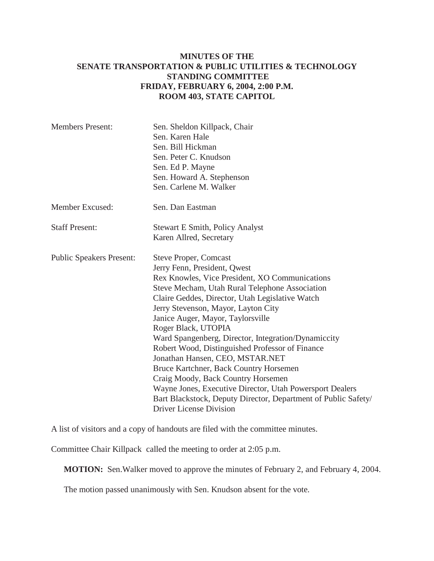## **MINUTES OF THE SENATE TRANSPORTATION & PUBLIC UTILITIES & TECHNOLOGY STANDING COMMITTEE FRIDAY, FEBRUARY 6, 2004, 2:00 P.M. ROOM 403, STATE CAPITOL**

| <b>Members Present:</b>         | Sen. Sheldon Killpack, Chair<br>Sen. Karen Hale<br>Sen. Bill Hickman<br>Sen. Peter C. Knudson<br>Sen. Ed P. Mayne<br>Sen. Howard A. Stephenson<br>Sen. Carlene M. Walker                                                                                                                                                                                                                                                                                                                                                                                                                                                                                                                                     |
|---------------------------------|--------------------------------------------------------------------------------------------------------------------------------------------------------------------------------------------------------------------------------------------------------------------------------------------------------------------------------------------------------------------------------------------------------------------------------------------------------------------------------------------------------------------------------------------------------------------------------------------------------------------------------------------------------------------------------------------------------------|
| Member Excused:                 | Sen. Dan Eastman                                                                                                                                                                                                                                                                                                                                                                                                                                                                                                                                                                                                                                                                                             |
| <b>Staff Present:</b>           | <b>Stewart E Smith, Policy Analyst</b><br>Karen Allred, Secretary                                                                                                                                                                                                                                                                                                                                                                                                                                                                                                                                                                                                                                            |
| <b>Public Speakers Present:</b> | <b>Steve Proper, Comcast</b><br>Jerry Fenn, President, Qwest<br>Rex Knowles, Vice President, XO Communications<br>Steve Mecham, Utah Rural Telephone Association<br>Claire Geddes, Director, Utah Legislative Watch<br>Jerry Stevenson, Mayor, Layton City<br>Janice Auger, Mayor, Taylorsville<br>Roger Black, UTOPIA<br>Ward Spangenberg, Director, Integration/Dynamiccity<br>Robert Wood, Distinguished Professor of Finance<br>Jonathan Hansen, CEO, MSTAR.NET<br>Bruce Kartchner, Back Country Horsemen<br>Craig Moody, Back Country Horsemen<br>Wayne Jones, Executive Director, Utah Powersport Dealers<br>Bart Blackstock, Deputy Director, Department of Public Safety/<br>Driver License Division |

A list of visitors and a copy of handouts are filed with the committee minutes.

Committee Chair Killpack called the meeting to order at 2:05 p.m.

**MOTION:** Sen.Walker moved to approve the minutes of February 2, and February 4, 2004.

The motion passed unanimously with Sen. Knudson absent for the vote.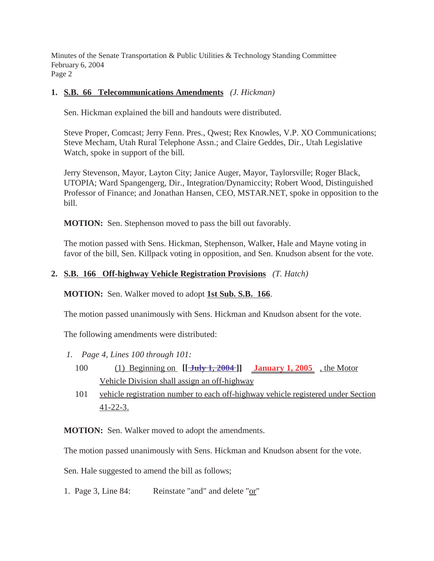Minutes of the Senate Transportation & Public Utilities & Technology Standing Committee February 6, 2004 Page 2

## **1. S.B. 66 Telecommunications Amendments** *(J. Hickman)*

Sen. Hickman explained the bill and handouts were distributed.

Steve Proper, Comcast; Jerry Fenn. Pres., Qwest; Rex Knowles, V.P. XO Communications; Steve Mecham, Utah Rural Telephone Assn.; and Claire Geddes, Dir., Utah Legislative Watch, spoke in support of the bill.

Jerry Stevenson, Mayor, Layton City; Janice Auger, Mayor, Taylorsville; Roger Black, UTOPIA; Ward Spangengerg, Dir., Integration/Dynamiccity; Robert Wood, Distinguished Professor of Finance; and Jonathan Hansen, CEO, MSTAR.NET, spoke in opposition to the bill.

**MOTION:** Sen. Stephenson moved to pass the bill out favorably.

The motion passed with Sens. Hickman, Stephenson, Walker, Hale and Mayne voting in favor of the bill, Sen. Killpack voting in opposition, and Sen. Knudson absent for the vote.

## **2. S.B. 166 Off-highway Vehicle Registration Provisions** *(T. Hatch)*

**MOTION:** Sen. Walker moved to adopt **1st Sub. S.B. 166**.

The motion passed unanimously with Sens. Hickman and Knudson absent for the vote.

The following amendments were distributed:

- *1. Page 4, Lines 100 through 101:*
	- 100 (1) Beginning on **[[ July 1, 2004 ]] January 1, 2005** , the Motor Vehicle Division shall assign an off-highway
	- 101 vehicle registration number to each off-highway vehicle registered under Section 41-22-3.

**MOTION:** Sen. Walker moved to adopt the amendments.

The motion passed unanimously with Sens. Hickman and Knudson absent for the vote.

Sen. Hale suggested to amend the bill as follows;

1. Page 3, Line 84: Reinstate "and" and delete "or"